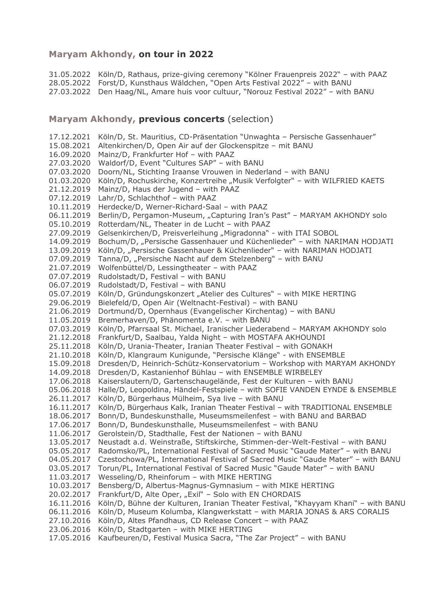## Maryam Akhondy, on tour in 2022

31.05.2022 Köln/D, Rathaus, prize-giving ceremony "Kölner Frauenpreis 2022" - with PAAZ 28.05.2022 Forst/D, Kunsthaus Wäldchen, "Open Arts Festival 2022" - with BANU 27.03.2022 Den Haag/NL, Amare huis voor cultuur, "Norouz Festival 2022" - with BANU

## Maryam Akhondy, previous concerts (selection)

17.12.2021 Köln/D, St. Mauritius, CD-Präsentation "Unwaghta - Persische Gassenhauer" 15.08.2021 Altenkirchen/D, Open Air auf der Glockenspitze - mit BANU 16.09.2020 Mainz/D, Frankfurter Hof - with PAAZ 27.03.2020 Waldorf/D, Event "Cultures SAP" - with BANU 07.03.2020 Doorn/NL, Stichting Iraanse Vrouwen in Nederland - with BANU 01.03.2020 Köln/D, Rochuskirche, Konzertreihe "Musik Verfolgter" – with WILFRIED KAETS<br>21.12.2019 Mainz/D, Haus der Jugend – with PAAZ 07.12.2019 Lahr/D, Schlachthof - with PAAZ 10.11.2019 Herdecke/D, Werner-Richard-Saal - with PAAZ 06.11.2019 Berlin/D, Pergamon-Museum, "Capturing Iran's Past" - MARYAM AKHONDY solo 05.10.2019 Rotterdam/NL, Theater in de Lucht - with PAAZ 27.09.2019 Gelsenkirchen/D, Preisverleihung "Migradonna" - with ITAI SOBOL 14.09.2019 Bochum/D, "Persische Gassenhauer und Küchenlieder" – with NARIMAN HODJATI 13.09.2019 Köln/D, "Persische Gassenhauer & Küchenlieder" - with NARIMAN HODJATI 07.09.2019 Tanna/D, "Persische Nacht auf dem Stelzenberg" - with BANU 21.07.2019 Wolfenbüttel/D, Lessingtheater - with PAAZ 07.07.2019 Rudolstadt/D, Festival - with BANU 06.07.2019 Rudolstadt/D, Festival - with BANU 05.07.2019 Köln/D, Gründungskonzert "Atelier des Cultures" - with MIKE HERTING 29.06.2019 Bielefeld/D, Open Air (Weltnacht-Festival) - with BANU 21.06.2019 Dortmund/D, Opernhaus (Evangelischer Kirchentag) – with BANU 11.05.2019 Bremerhaven/D, Phänomenta e.V. - with BANU 07.03.2019 Köln/D, Pfarrsaal St. Michael, Iranischer Liederabend - MARYAM AKHONDY solo 21.12.2018 Frankfurt/D, Saalbau, Yalda Night - with MOSTAFA AKHOUNDI 25.11.2018 Köln/D, Urania-Theater, Iranian Theater Festival - with GONAKH 21.10.2018 Köln/D, Klangraum Kunigunde, "Persische Klänge" - with ENSEMBLE 15.09.2018 Dresden/D, Heinrich-Schütz-Konservatorium - Workshop with MARYAM AKHONDY 14.09.2018 Dresden/D, Kastanienhof Bühlau - with ENSEMBLE WIRBELEY 17.06.2018 Kaiserslautern/D, Gartenschaugelände, Fest der Kulturen - with BANU 05.06.2018 Halle/D, Leopoldina, Händel-Festspiele - with SOFIE VANDEN EYNDE & ENSEMBLE 26.11.2017 Köln/D, Bürgerhaus Mülheim, Sya live - with BANU 16.11.2017 Köln/D, Bürgerhaus Kalk, Iranian Theater Festival - with TRADITIONAL ENSEMBLE 18.06.2017 Bonn/D, Bundeskunsthalle, Museumsmeilenfest - with BANU and BARBAD 17.06.2017 Bonn/D, Bundeskunsthalle, Museumsmeilenfest - with BANU 11.06.2017 Gerolstein/D, Stadthalle, Fest der Nationen - with BANU 13.05.2017 Neustadt a.d. Weinstraße, Stiftskirche, Stimmen-der-Welt-Festival – with BANU<br>05.05.2017 Radomsko/PL, International Festival of Sacred Music "Gaude Mater" – with BANU 04.05.2017 Czestochowa/PL, International Festival of Sacred Music "Gaude Mater" - with BANU 03.05.2017 Torun/PL, International Festival of Sacred Music "Gaude Mater" - with BANU 11.03.2017 Wesseling/D, Rheinforum - with MIKE HERTING 10.03.2017 Bensberg/D, Albertus-Magnus-Gymnasium - with MIKE HERTING 20.02.2017 Frankfurt/D, Alte Oper, "Exil" - Solo with EN CHORDAIS 16.11.2016 Köln/D, Bühne der Kulturen, Iranian Theater Festival, "Khayyam Khani" - with BANU 06.11.2016 Köln/D, Museum Kolumba, Klangwerkstatt - with MARIA JONAS & ARS CORALIS 27.10.2016 Köln/D, Altes Pfandhaus, CD Release Concert - with PAAZ 23.06.2016 Köln/D, Stadtgarten - with MIKE HERTING 17.05.2016 Kaufbeuren/D, Festival Musica Sacra, "The Zar Project" - with BANU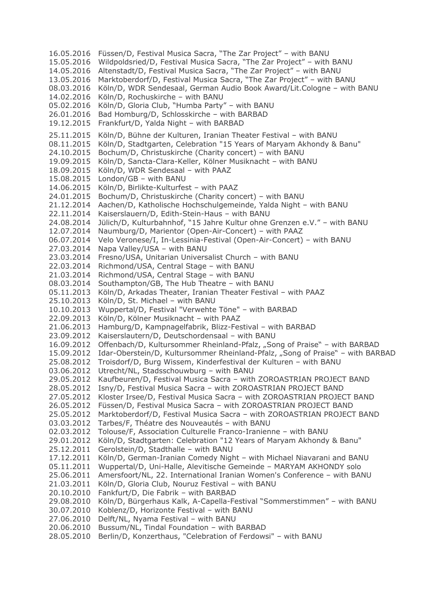16.05.2016 Füssen/D, Festival Musica Sacra, "The Zar Project" - with BANU 15.05.2016 Wildpoldsried/D, Festival Musica Sacra, "The Zar Project" - with BANU 14.05.2016 Altenstadt/D, Festival Musica Sacra, "The Zar Project" - with BANU 13.05.2016 Marktoberdorf/D, Festival Musica Sacra, "The Zar Project" - with BANU 08.03.2016 Köln/D, WDR Sendesaal, German Audio Book Award/Lit.Cologne – with BANU<br>14.02.2016 Köln/D, Rochuskirche – with BANU 05.02.2016 Köln/D, Gloria Club, "Humba Party" - with BANU 26.01.2016 Bad Homburg/D, Schlosskirche - with BARBAD 19.12.2015 Frankfurt/D, Yalda Night - with BARBAD 25.11.2015 Köln/D, Bühne der Kulturen, Iranian Theater Festival - with BANU 08.11.2015 Köln/D, Stadtgarten, Celebration "15 Years of Maryam Akhondy & Banu" 24.10.2015 Bochum/D, Christuskirche (Charity concert) – with BANU<br>19.09.2015 Köln/D, Sancta-Clara-Keller, Kölner Musiknacht – with BANU 18.09.2015 Köln/D, WDR Sendesaal - with PAAZ 15.08.2015 London/GB - with BANU 14.06.2015 Köln/D, Birlikte-Kulturfest - with PAAZ 24.01.2015 Bochum/D, Christuskirche (Charity concert) - with BANU 21.12.2014 Aachen/D, Katholische Hochschulgemeinde, Yalda Night – with BANU<br>22.11.2014 Kaiserslauern/D, Edith-Stein-Haus – with BANU 24.08.2014 Jülich/D, Kulturbahnhof, "15 Jahre Kultur ohne Grenzen e.V." - with BANU 12.07.2014 Naumburg/D, Marientor (Open-Air-Concert) - with PAAZ 06.07.2014 Velo Veronese/I, In-Lessinia-Festival (Open-Air-Concert) - with BANU 27.03.2014 Napa Valley/USA - with BANU 23.03.2014 Fresno/USA, Unitarian Universalist Church - with BANU 22.03.2014 Richmond/USA, Central Stage - with BANU 21.03.2014 Richmond/USA, Central Stage - with BANU 08.03.2014 Southampton/GB, The Hub Theatre - with BANU 05.11.2013 Köln/D, Arkadas Theater, Iranian Theater Festival - with PAAZ 25.10.2013 Köln/D, St. Michael - with BANU 10.10.2013 Wuppertal/D, Festival "Verwehte Töne" - with BARBAD<br>22.09.2013 Köln/D, Kölner Musiknacht - with PAAZ 21.06.2013 Hamburg/D, Kampnagelfabrik, Blizz-Festival - with BARBAD 23.09.2012 Kaiserslautern/D, Deutschordensaal - with BANU 16.09.2012 Offenbach/D, Kultursommer Rheinland-Pfalz, "Song of Praise" - with BARBAD 15.09.2012 Idar-Oberstein/D, Kultursommer Rheinland-Pfalz, "Song of Praise" - with BARBAD 25.08.2012 Troisdorf/D, Burg Wissem, Kinderfestival der Kulturen – with BANU<br>03.06.2012 Utrecht/NL, Stadsschouwburg – with BANU 29.05.2012 Kaufbeuren/D, Festival Musica Sacra - with ZOROASTRIAN PROJECT BAND 28.05.2012 Isny/D, Festival Musica Sacra - with ZOROASTRIAN PROJECT BAND 27.05.2012 Kloster Irsee/D, Festival Musica Sacra - with ZOROASTRIAN PROJECT BAND 26.05.2012 Füssen/D, Festival Musica Sacra - with ZOROASTRIAN PROJECT BAND 25.05.2012 Marktoberdorf/D, Festival Musica Sacra – with ZOROASTRIAN PROJECT BAND<br>03.03.2012 Tarbes/F, Théatre des Nouveautés – with BANU 02.03.2012 Tolouse/F, Association Culturelle Franco-Iranienne - with BANU 29.01.2012 Köln/D, Stadtgarten: Celebration "12 Years of Maryam Akhondy & Banu" 25.12.2011 Gerolstein/D, Stadthalle - with BANU 17.12.2011 Köln/D, German-Iranian Comedy Night - with Michael Niavarani and BANU 05.11.2011 Wuppertal/D, Uni-Halle, Alevitische Gemeinde – MARYAM AKHONDY solo<br>25.06.2011 Amersfoort/NL, 22. International Iranian Women's Conference – with BANU 21.03.2011 Köln/D, Gloria Club, Nouruz Festival - with BANU 20.10.2010 Fankfurt/D, Die Fabrik - with BARBAD 29.08.2010 Köln/D, Bürgerhaus Kalk, A-Capella-Festival "Sommerstimmen" - with BANU 30.07.2010 Koblenz/D, Horizonte Festival - with BANU 27.06.2010 Delft/NL, Nyama Festival - with BANU<br>20.06.2010 Bussum/NL, Tindal Foundation - with BARBAD 28.05.2010 Berlin/D, Konzerthaus, "Celebration of Ferdowsi" - with BANU